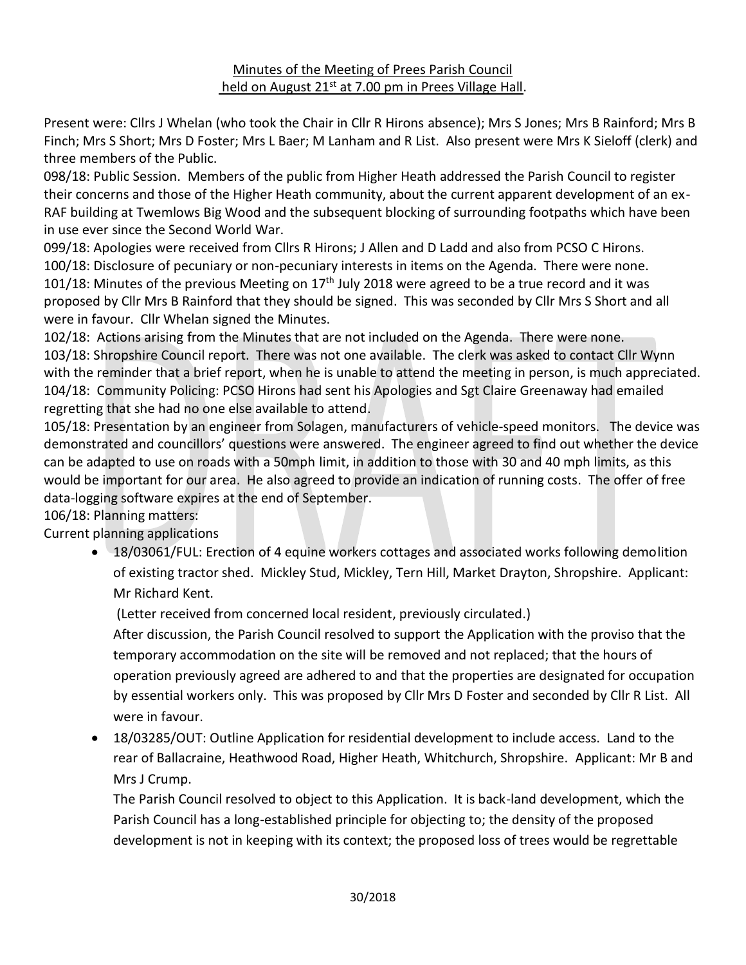### Minutes of the Meeting of Prees Parish Council held on August 21<sup>st</sup> at 7.00 pm in Prees Village Hall.

Present were: Cllrs J Whelan (who took the Chair in Cllr R Hirons absence); Mrs S Jones; Mrs B Rainford; Mrs B Finch; Mrs S Short; Mrs D Foster; Mrs L Baer; M Lanham and R List. Also present were Mrs K Sieloff (clerk) and three members of the Public.

098/18: Public Session. Members of the public from Higher Heath addressed the Parish Council to register their concerns and those of the Higher Heath community, about the current apparent development of an ex-RAF building at Twemlows Big Wood and the subsequent blocking of surrounding footpaths which have been in use ever since the Second World War.

099/18: Apologies were received from Cllrs R Hirons; J Allen and D Ladd and also from PCSO C Hirons. 100/18: Disclosure of pecuniary or non-pecuniary interests in items on the Agenda. There were none. 101/18: Minutes of the previous Meeting on  $17<sup>th</sup>$  July 2018 were agreed to be a true record and it was proposed by Cllr Mrs B Rainford that they should be signed. This was seconded by Cllr Mrs S Short and all were in favour. Cllr Whelan signed the Minutes.

102/18: Actions arising from the Minutes that are not included on the Agenda. There were none. 103/18: Shropshire Council report. There was not one available. The clerk was asked to contact Cllr Wynn with the reminder that a brief report, when he is unable to attend the meeting in person, is much appreciated. 104/18: Community Policing: PCSO Hirons had sent his Apologies and Sgt Claire Greenaway had emailed regretting that she had no one else available to attend.

105/18: Presentation by an engineer from Solagen, manufacturers of vehicle-speed monitors. The device was demonstrated and councillors' questions were answered. The engineer agreed to find out whether the device can be adapted to use on roads with a 50mph limit, in addition to those with 30 and 40 mph limits, as this would be important for our area. He also agreed to provide an indication of running costs. The offer of free data-logging software expires at the end of September.

106/18: Planning matters:

Current planning applications

• 18/03061/FUL: Erection of 4 equine workers cottages and associated works following demolition of existing tractor shed. Mickley Stud, Mickley, Tern Hill, Market Drayton, Shropshire. Applicant: Mr Richard Kent.

(Letter received from concerned local resident, previously circulated.)

After discussion, the Parish Council resolved to support the Application with the proviso that the temporary accommodation on the site will be removed and not replaced; that the hours of operation previously agreed are adhered to and that the properties are designated for occupation by essential workers only. This was proposed by Cllr Mrs D Foster and seconded by Cllr R List. All were in favour.

• 18/03285/OUT: Outline Application for residential development to include access. Land to the rear of Ballacraine, Heathwood Road, Higher Heath, Whitchurch, Shropshire. Applicant: Mr B and Mrs J Crump.

The Parish Council resolved to object to this Application. It is back-land development, which the Parish Council has a long-established principle for objecting to; the density of the proposed development is not in keeping with its context; the proposed loss of trees would be regrettable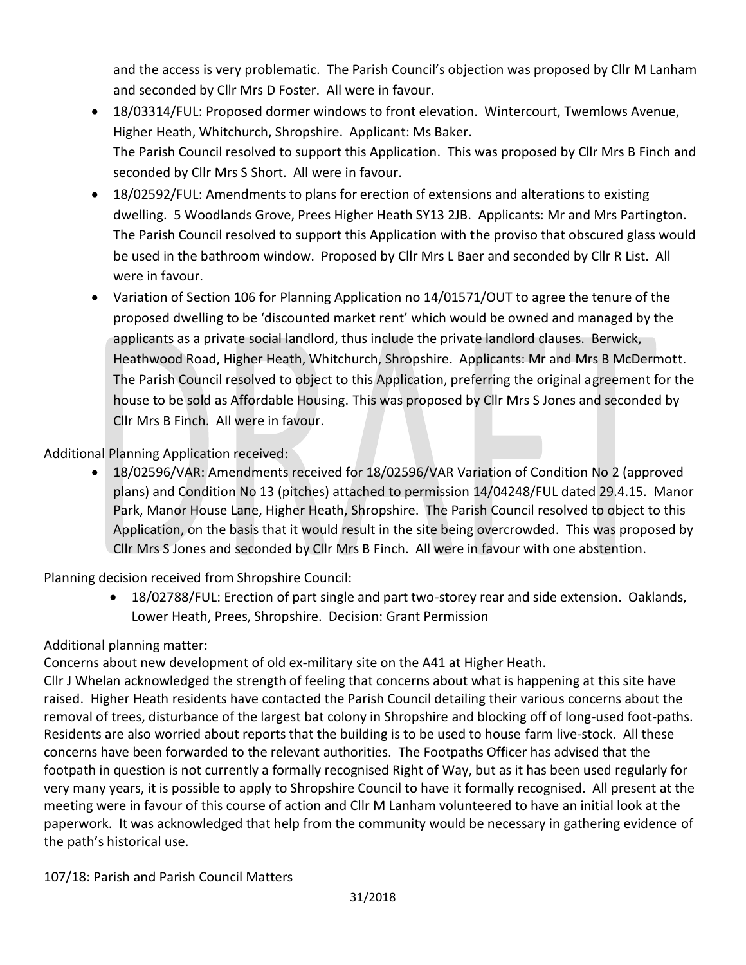and the access is very problematic. The Parish Council's objection was proposed by Cllr M Lanham and seconded by Cllr Mrs D Foster. All were in favour.

- 18/03314/FUL: Proposed dormer windows to front elevation. Wintercourt, Twemlows Avenue, Higher Heath, Whitchurch, Shropshire. Applicant: Ms Baker. The Parish Council resolved to support this Application. This was proposed by Cllr Mrs B Finch and seconded by Cllr Mrs S Short. All were in favour.
- 18/02592/FUL: Amendments to plans for erection of extensions and alterations to existing dwelling. 5 Woodlands Grove, Prees Higher Heath SY13 2JB. Applicants: Mr and Mrs Partington. The Parish Council resolved to support this Application with the proviso that obscured glass would be used in the bathroom window. Proposed by Cllr Mrs L Baer and seconded by Cllr R List. All were in favour.
- Variation of Section 106 for Planning Application no 14/01571/OUT to agree the tenure of the proposed dwelling to be 'discounted market rent' which would be owned and managed by the applicants as a private social landlord, thus include the private landlord clauses. Berwick, Heathwood Road, Higher Heath, Whitchurch, Shropshire. Applicants: Mr and Mrs B McDermott. The Parish Council resolved to object to this Application, preferring the original agreement for the house to be sold as Affordable Housing. This was proposed by Cllr Mrs S Jones and seconded by Cllr Mrs B Finch. All were in favour.

# Additional Planning Application received:

• 18/02596/VAR: Amendments received for 18/02596/VAR Variation of Condition No 2 (approved plans) and Condition No 13 (pitches) attached to permission 14/04248/FUL dated 29.4.15. Manor Park, Manor House Lane, Higher Heath, Shropshire. The Parish Council resolved to object to this Application, on the basis that it would result in the site being overcrowded. This was proposed by Cllr Mrs S Jones and seconded by Cllr Mrs B Finch. All were in favour with one abstention.

Planning decision received from Shropshire Council:

• 18/02788/FUL: Erection of part single and part two-storey rear and side extension. Oaklands, Lower Heath, Prees, Shropshire. Decision: Grant Permission

## Additional planning matter:

Concerns about new development of old ex-military site on the A41 at Higher Heath.

Cllr J Whelan acknowledged the strength of feeling that concerns about what is happening at this site have raised. Higher Heath residents have contacted the Parish Council detailing their various concerns about the removal of trees, disturbance of the largest bat colony in Shropshire and blocking off of long-used foot-paths. Residents are also worried about reports that the building is to be used to house farm live-stock. All these concerns have been forwarded to the relevant authorities. The Footpaths Officer has advised that the footpath in question is not currently a formally recognised Right of Way, but as it has been used regularly for very many years, it is possible to apply to Shropshire Council to have it formally recognised. All present at the meeting were in favour of this course of action and Cllr M Lanham volunteered to have an initial look at the paperwork. It was acknowledged that help from the community would be necessary in gathering evidence of the path's historical use.

107/18: Parish and Parish Council Matters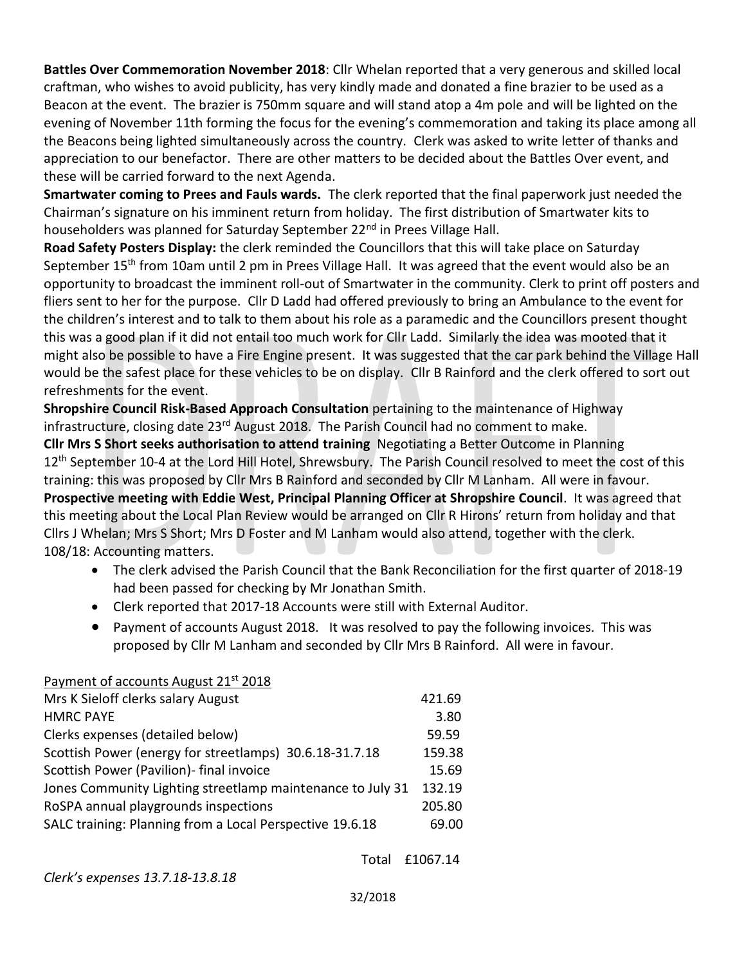**Battles Over Commemoration November 2018**: Cllr Whelan reported that a very generous and skilled local craftman, who wishes to avoid publicity, has very kindly made and donated a fine brazier to be used as a Beacon at the event. The brazier is 750mm square and will stand atop a 4m pole and will be lighted on the evening of November 11th forming the focus for the evening's commemoration and taking its place among all the Beacons being lighted simultaneously across the country. Clerk was asked to write letter of thanks and appreciation to our benefactor. There are other matters to be decided about the Battles Over event, and these will be carried forward to the next Agenda.

**Smartwater coming to Prees and Fauls wards.** The clerk reported that the final paperwork just needed the Chairman's signature on his imminent return from holiday. The first distribution of Smartwater kits to householders was planned for Saturday September 22<sup>nd</sup> in Prees Village Hall.

**Road Safety Posters Display:** the clerk reminded the Councillors that this will take place on Saturday September 15<sup>th</sup> from 10am until 2 pm in Prees Village Hall. It was agreed that the event would also be an opportunity to broadcast the imminent roll-out of Smartwater in the community. Clerk to print off posters and fliers sent to her for the purpose. Cllr D Ladd had offered previously to bring an Ambulance to the event for the children's interest and to talk to them about his role as a paramedic and the Councillors present thought this was a good plan if it did not entail too much work for Cllr Ladd. Similarly the idea was mooted that it might also be possible to have a Fire Engine present. It was suggested that the car park behind the Village Hall would be the safest place for these vehicles to be on display. Cllr B Rainford and the clerk offered to sort out refreshments for the event.

**Shropshire Council Risk-Based Approach Consultation** pertaining to the maintenance of Highway infrastructure, closing date 23rd August 2018. The Parish Council had no comment to make.

**Cllr Mrs S Short seeks authorisation to attend training** Negotiating a Better Outcome in Planning 12<sup>th</sup> September 10-4 at the Lord Hill Hotel, Shrewsbury. The Parish Council resolved to meet the cost of this training: this was proposed by Cllr Mrs B Rainford and seconded by Cllr M Lanham. All were in favour. **Prospective meeting with Eddie West, Principal Planning Officer at Shropshire Council**. It was agreed that this meeting about the Local Plan Review would be arranged on Cllr R Hirons' return from holiday and that Cllrs J Whelan; Mrs S Short; Mrs D Foster and M Lanham would also attend, together with the clerk.

108/18: Accounting matters.

- The clerk advised the Parish Council that the Bank Reconciliation for the first quarter of 2018-19 had been passed for checking by Mr Jonathan Smith.
- Clerk reported that 2017-18 Accounts were still with External Auditor.
- Payment of accounts August 2018. It was resolved to pay the following invoices. This was proposed by Cllr M Lanham and seconded by Cllr Mrs B Rainford. All were in favour.

## Payment of accounts August 21<sup>st</sup> 2018 Mrs K Sieloff clerks salary August 421.69 HMRC PAYE 3.80 Clerks expenses (detailed below) 59.59 Scottish Power (energy for streetlamps) 30.6.18-31.7.18 159.38 Scottish Power (Pavilion)- final invoice 15.69 Jones Community Lighting streetlamp maintenance to July 31 132.19 RoSPA annual playgrounds inspections 205.80 SALC training: Planning from a Local Perspective 19.6.18 69.00

Total £1067.14

*Clerk's expenses 13.7.18-13.8.18*